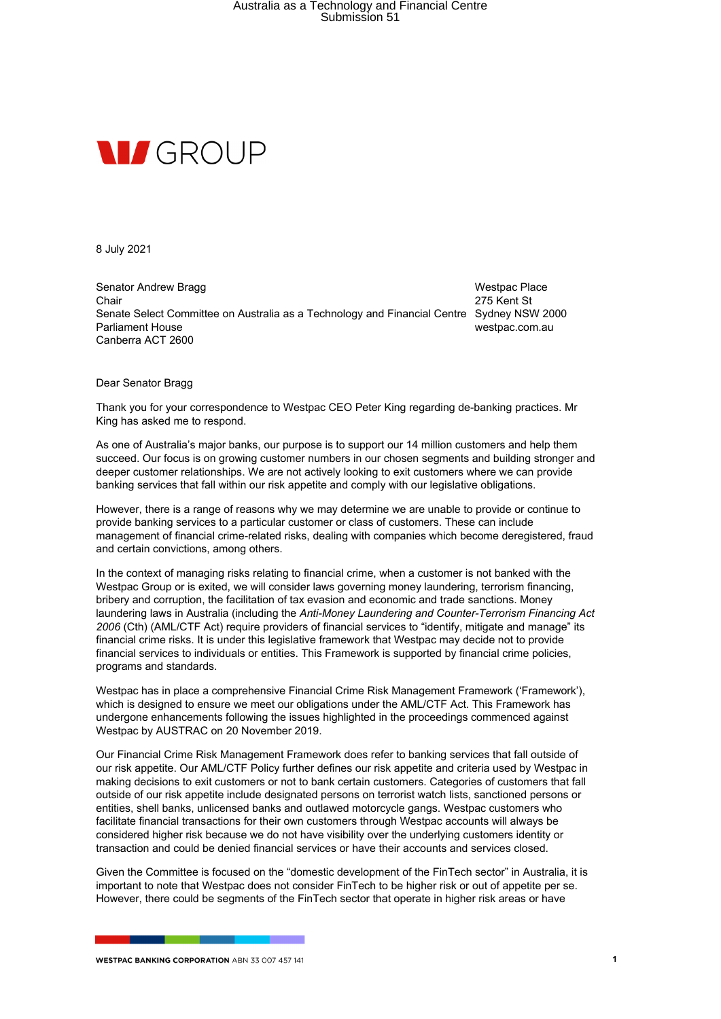## Australia as a Technology and Financial Centre Submission 51



8 July 2021

Senator Andrew Bragg Chair Senate Select Committee on Australia as a Technology and Financial Centre Sydney NSW 2000 Parliament House Canberra ACT 2600

Westpac Place 275 Kent St westpac.com.au

Dear Senator Bragg

Thank you for your correspondence to Westpac CEO Peter King regarding de-banking practices. Mr King has asked me to respond.

As one of Australia's major banks, our purpose is to support our 14 million customers and help them succeed. Our focus is on growing customer numbers in our chosen segments and building stronger and deeper customer relationships. We are not actively looking to exit customers where we can provide banking services that fall within our risk appetite and comply with our legislative obligations.

However, there is a range of reasons why we may determine we are unable to provide or continue to provide banking services to a particular customer or class of customers. These can include management of financial crime-related risks, dealing with companies which become deregistered, fraud and certain convictions, among others.

In the context of managing risks relating to financial crime, when a customer is not banked with the Westpac Group or is exited, we will consider laws governing money laundering, terrorism financing, bribery and corruption, the facilitation of tax evasion and economic and trade sanctions. Money laundering laws in Australia (including the *Anti-Money Laundering and Counter-Terrorism Financing Act 2006* (Cth) (AML/CTF Act) require providers of financial services to "identify, mitigate and manage" its financial crime risks. It is under this legislative framework that Westpac may decide not to provide financial services to individuals or entities. This Framework is supported by financial crime policies, programs and standards.

Westpac has in place a comprehensive Financial Crime Risk Management Framework ('Framework'), which is designed to ensure we meet our obligations under the AML/CTF Act. This Framework has undergone enhancements following the issues highlighted in the proceedings commenced against Westpac by AUSTRAC on 20 November 2019.

Our Financial Crime Risk Management Framework does refer to banking services that fall outside of our risk appetite. Our AML/CTF Policy further defines our risk appetite and criteria used by Westpac in making decisions to exit customers or not to bank certain customers. Categories of customers that fall outside of our risk appetite include designated persons on terrorist watch lists, sanctioned persons or entities, shell banks, unlicensed banks and outlawed motorcycle gangs. Westpac customers who facilitate financial transactions for their own customers through Westpac accounts will always be considered higher risk because we do not have visibility over the underlying customers identity or transaction and could be denied financial services or have their accounts and services closed.

Given the Committee is focused on the "domestic development of the FinTech sector" in Australia, it is important to note that Westpac does not consider FinTech to be higher risk or out of appetite per se. However, there could be segments of the FinTech sector that operate in higher risk areas or have

**WESTPAC BANKING CORPORATION ABN 33 007 457 141**